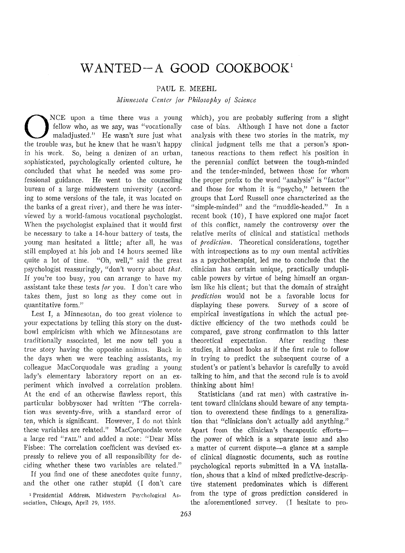# WANTED-A GOOD COOKBOOK<sup>1</sup>

## PAUL E. MEEHL

### *Minnesota Center jor Philosophy of Science*

NCE upon a time there was a young fellow who, as we say, was "vocationally maladjusted." He wasn't sure just what the trouble was, but he knew that he wasn't happy NCE upon a time there was a young fellow who, as we say, was "vocationally maladjusted." He wasn't sure just what in his work. So, being a denizen of an urban, sophisticated, psychologically oriented culture, he concluded that what he needed was some professional guidance. He went to the counseling bureau of a large midwestern university (according to some versions of the tale, it was located on the banks of a great river), and there he was interviewed by a world-famous vocational psychologist. When the psychologist explained that it would first be necessary to take a 14-hour battery of tests, the young man hesitated a little; after all, he was still employed at his job and 14 hours seemed like quite a lot of time. "Oh, well," said the great psychologist reassuringly, "don't worry about *that.* If you're too busy, you can arrange to have my assistant take these tests *jor* you. *I* don't care who takes them, just so long as they come out in quantitative form."

Lest I, a Minnesotan, do too great violence to your expectations by telling this story on the dustbowl empiricism with which we Minnesotans are traditionally associated, let me now tell you a true story having the opposite animus. Back in the days when we were teaching assistants, my colleague MacCorquodale was grading a young lady's elementary laboratory report on an experiment which involved a correlation problem. At the end of an otherwise flawless report, this particular bobbysoxer had written "The correlation was seventy-five, with a standard error of ten, which is significant. However, I do not think these variables are related." MacCorquodale wrote a large red "FAIL" and added a note: "Dear Miss Fisbee: The correlation coefficient was devised expressly to relieve you of all responsibility for deciding whether these two variables are related."

If you find one of these anecdotes quite funny, and the other one rather stupid (I don't care

1 Presidential Address, Midwestern Psychological Association, Chicago, April 29, 19SS.

which), you are probably suffering from a slight case of bias. Although I have not done a factor analysis with these two stories in the matrix, my clinical judgment tells me that a person's spontaneous reactions to them reflect his position in the perennial conflict between the tough-minded and the tender-minded, between those for whom the proper prefix to the word "analysis" is "factor" and those for whom it is "psycho," between the groups that Lord Russell once characterized as the "simple-minded" and the "muddle-headed." In a recent book (10), I have explored one major facet of this conflict, namely the controversy over the relative merits of clinical and statistical methods of *prediction.* Theoretical considerations, together with introspections as to my own mental activities as a psychotherapist, led me to conclude that the clinician has certain unique, practically unduplicable powers by virtue of being himself an organism like his client; but that the domain of straight *prediction* would not be a favorable locus for displaying these powers. Survey of a score of empirical investigations in which the actual predictive efficiency of the two methods could be compared, gave strong confirmation to this latter theoretical expectation. After reading these studies, it almost looks as if the first rule to follow in trying to predict the subsequent course of a student's or patient's behavior is carefully to avoid talking to him, and that the second rule is to avoid thinking about him!

Statisticians (and rat men) with castrative intent toward clinicians should beware of any temptation to overextend these findings to a generalization that "clinicians don't actually add anything." Apart from the clinician's therapeutic efforts the power of which is a separate issue and also a matter of current dispute—a glance at a sample of clinical diagnostic documents, such as routine psychological reports submitted in a VA installation, shows that a kind of mixed predictive-descriptive statement predominates which is different from the type of gross prediction considered in the aforementioned survey. (I hesitate to pro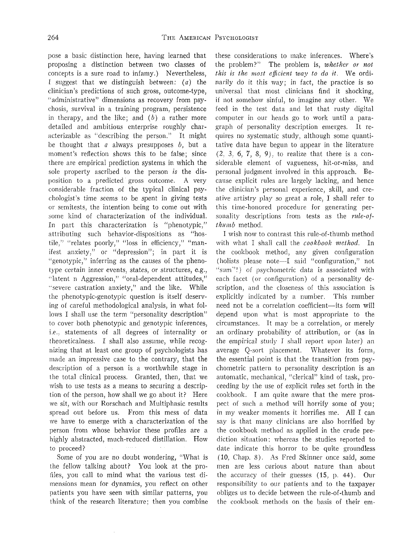pose a basic distinction here, having learned that proposing a distinction between two classes of concepts is a sure road to infamy.) Nevertheless, I suggest that we distinguish between: *(a)* the clinician's predictions of such gross, outcome-type, "administrative" dimensions as recovery from psychosis, survival in a training program, persistence in therapy, and the like; and *(b)* a rather more detailed and ambitious enterprise roughly characterizable as "describing the person." It might be thought that *a* always presupposes *b,* but a moment's reflection shows this to be false; since there are empirical prediction systems in which the sole property ascribed to the person *is* the disposition to a predicted gross outcome. A very considerable fraction of the typical clinical psychologist's time seems to be spent in giving tests or semitests, the intention being to come out with some kind of characterization of the individual. In part this characterization is "phenotypic," attributing such behavior-dispositions as "hostile," "relates poorly," "loss in efficiency," "manifest anxiety," or "depression"; in part it is "genotypic," inferring as the causes of the phenotype certain inner events, states, or structures, e.g., "latent n Aggression," "oral-dependent attitudes," "severe castration anxiety," and the like. While the phenotypic-genotypic question is itself deserving of careful methodological analysis, in what follows I shall use the term "personality description" to cover both phenotypic and genotypic inferences, i.e., statements of all degrees of internality or theoreticalness. I shall also assume, while recognizing that at least one group of psychologists has made an impressive case to the contrary, that the description of a person is a worthwhile stage in the total clinical process. Granted, then, that we wish to use tests as a means to securing a description of the person, how shall we go about it? Here we sit, with our Rorschach and Multiphasic results spread out before us. From this mess of data we have to emerge with a characterization of the person from whose behavior these profiles are a highly abstracted, much-reduced distillation. How to proceed?

Some of you are no doubt wondering, "What is the fellow talking about? You look at the profiles, you call to mind what the various test dimensions mean for dynamics, you reflect on other patients you have seen with similar patterns, you think of the research literature; then you combine

 $\ddot{\phantom{a}}$ 

these considerations to make inferences. Where's the problem?" The problem is, *whether or not this is the most efficient way to do it.* We ordinarily do it this way; in fact, the practice is so universal that most clinicians find it shocking, if not somehow sinful, to imagine any other. We feed in the test data and let that rusty digital computer in our heads go to work until a paragraph of personality description emerges. It requires no systematic study, although some quantitative data have begun to appear in the literature (2, 3. 6, 7, 8, 9). to realize that there is a considerable element of vagueness, hit-or-miss, and personal judgment involved in this approach. Because explicit rules are largely lacking, and hence the clinician's personal experience, skill, and creative artistry play so great a role, I shall refer to this time-honored procedure for generating personality descriptions from tests as the *rule-ojthumb* method.

I wish now to contrast this rule-of-thumb method with what I shall call the *cookbook method.* In the cookbook method, any given configuration (holists please note—I said "configuration," not "sum"!) of psychometric data is associated with each facet (or configuration) of a personality description, and the closeness of this association is explicitly indicated *by* a number. This number need not be a correlation coefficient—its form will depend upon what is most appropriate to the circumstances. It may be a correlation, or merely an ordinary probability of attribution, or (as in the empirical study I shall report upon later) an average Q-sort placement. Whatever its form, the essential point is that the transition from psychometric pattern to personality description is an automatic, mechanical, "clerical" kind of task, proceeding by the use of explicit rules set forth in the cookbook. I am quite aware that the mere prospect of such a method will horrify some of you; in my weaker moments it horrifies me. All I can say is that many clinicians are also horrified by the cookbook method as applied in the crude prediction situation; whereas the studies reported to date indicate this horror to be quite groundless (10, Chap. 8). As Fred Skinner once said, some men are less curious about nature than about the accuracy of their guesses (15, p. 44). Our responsibility to our patients and to the taxpayer obliges us to decide between the rule-of-thumb and the cookbook methods on the basis of their em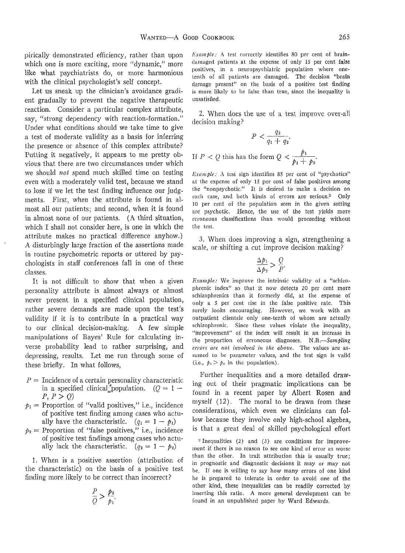pirically demonstrated efficiency, rather than upon which one is more exciting, more "dynamic," more like what psychiatrists do, or more harmonious with the clinical psychologist's self concept.

Let us sneak up the clinician's avoidance gradient gradually to prevent the negative therapeutic reaction. Consider a particular complex attribute, say, "strong dependency with reaction-formation." Under what conditions should we take time to give a test of moderate validity as a basis for inferring the presence or absence of this complex attribute? Putting it negatively, it appears to me pretty obvious that there are two circumstances under which we should *not* spend much skilled time on testing even with a moderately valid test, because we stand to lose if we let the test finding influence our judgments. First, when the attribute is found in almost all our patients; and second, when it is found in almost none of our patients. (A third situation, which I shall not consider here, is one in which the attribute makes no practical difference anyhow.) A disturbingly large fraction of the assertions made in routine psychometric reports or uttered by psychologists in staff conferences fall in one of these classes.

It is not difficult to show that when a given personality attribute is almost always or almost never present in a specified clinical population, rather severe demands are made upon the test's validity if it is to contribute in a practical way to our clinical decision-making. A few simple manipulations of Bayes' Rule for calculating inverse probability lead to rather surprising, and depressing, results. Let me run through some of these briefly. In what follows,

- $P =$  Incidence of a certain personality characteristic in a specified clinical population.  $(Q = 1 P, P > Q$
- $p_1$  = Proportion of "valid positives," i.e., incidence of positive test finding among cases who actually have the characteristic.  $(q_1 = 1 - p_1)$
- $p_2$  = Proportion of "false positives," i.e., incidence of positive test findings among cases who actually lack the characteristic.  $(q_2 = 1 - p_2)$

*1.* When is a positive assertion (attribution of the characteristic) on the basis of a positive test finding more likely to be correct than incorrect?

$$
\frac{P}{Q} > \frac{p_2}{p_1}.
$$

*Example:* A test correctly identifies 80 per cent of braindamaged patients at the expense of only 15 per cent false positives, in a neuropsychiatric population where onetenth of all patients are damaged. The decision "brain damage present" on the basis of a positive test finding is more likely to be false than true, since the inequality is unsatisfied.

2. When does the use of a test improve over-all decision making?

$$
P < \frac{q_2}{q_1 + q_2}.
$$
\nIf  $P < Q$  this has the form  $Q < \frac{p_1}{p_1 + p_2}$ .

*Example:* A test sign identifies 85 per cent of "psychotics" at the expense of only 15 per cent of false positives among the "nonpsychotic." It is desired to make a decision on each case, and both kinds of errors are serious.<sup>2</sup> Only 10 per cent of the population seen in the given setting are psychotic. Hence, the use of the test yields more erroneous classifications than would proceeding without the test.

3. When does improving a sign, strengthening a scale, or shifting a cut improve decision making?

$$
\frac{\Delta p_1}{\Delta p_2} > \frac{Q}{P}.
$$

*Example:* We improve the intrinsic validity of a "schizophrenic index" so that it now detects 20 per cent more schizophrenics than it formerly did, at the expense of only a 5 per cent rise in the false positive rate. This surely looks encouraging. However, we work with an outpatient clientele only one-tenth of whom are actually schizophrenic. Since these values violate the inequality, "improvement" of the index will result in an increase in the proportion of erroneous diagnoses. N.B. — *Sampling errors are not involved in the above.* The values are assumed to be parameter values, and the test sign is valid (i.e.,  $p_1 > p_2$  in the population).

Further inequalities and a more detailed drawing out of their pragmatic implications can be found in a recent paper by Albert Rosen and myself (12). The moral to be drawn from these considerations, which even we clinicians can follow because they involve only high-school algebra, is that a great deal of skilled psychological effort

- Inequalities (2) and (3) are conditions for improvement if there is no reason to see one kind of error as worse than the other. In trait attribution this is usually true; in prognostic and diagnostic decisions it may or may not be. If one is willing to say how many errors of one kind he is prepared to tolerate in order to avoid one of the other kind, these inequalities can be readily corrected by inserting this ratio. A more general development can be found in an unpublished paper by Ward Edwards.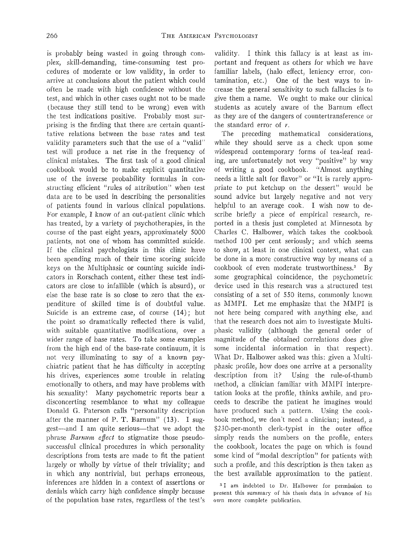is probably being wasted in going through complex, skill-demanding, time-consuming test procedures of moderate or low validity, in order to arrive at conclusions about the patient which could often be made with high confidence without the test, and which in other cases ought not to be made (because they still tend to be wrong) even with the test indications positive. Probably most surprising is the finding that there are certain quantitative relations between the base rates and test validity parameters such that the use of a "valid'' test will produce a net rise in the frequency of clinical mistakes. The first task of a good clinical cookbook would be to make explicit quantitative use of the inverse probability formulas in constructing efficient "rules of attribution" when test data are to be used in describing the personalities of patients found in various clinical populations. For example, I know of an out-patient clinic which has treated, by a variety of psychotherapies, in the course of the past eight years, approximately 5000 patients, not one of whom has committed suicide. If the clinical psychologists in this clinic have been spending much of their time scoring suicide keys on the Multiphasic or counting suicide indicators in Rorschach content, either these test indicators are close to infallible (which is absurd), or else the base rate is so close to zero that the expenditure of skilled time is of doubtful value. Suicide is an extreme case, of course (14); but the point so dramatically reflected there is valid, with suitable quantitative modifications, over a wider range of base rates. To take some examples from the high end of the base-rate continuum, it is not very illuminating to say of a known psychiatric patient that he has difficulty in accepting his drives, experiences some trouble in relating emotionally to others, and may have problems with his sexuality! Many psychometric reports bear a disconcerting resemblance to what my colleague Donald G. Paterson calls "personality description after the manner of P. T. Barnum" (13). I suggest—and I am quite serious—that we adopt the phrase *Barnum effect* to stigmatize those pseudosuccessful clinical procedures in which personality descriptions from tests are made to fit the patient largely or wholly by virtue of their triviality; and in which any nontrivial, but perhaps erroneous, inferences are hidden in a context of assertions or denials which carry high confidence simply because of the population base rates, regardless of the test's

validity. I think this fallacy is at least as important and frequent as others for which we have familiar labels, (halo effect, leniency error, contamination, etc.) One of the best ways to increase the general sensitivity to such fallacies is to give them a name. We ought to make our clinical students as acutely aware of the Barnum effect as they are of the dangers of countertransference or the standard error of *r.*

The preceding mathematical considerations, while they should serve as a check upon some widespread contemporary forms of tea-leaf reading, are unfortunately not very "positive" by way of writing a good cookbook. "Almost anything needs a little salt for flavor" or "It is rarely appropriate to put ketchup on the dessert" would be sound advice but largely negative and not very helpful to an average cook. I wish now to describe briefly a piece of empirical research, reported in a thesis just completed at Minnesota by Charles C. Halbower, which takes the cookbook method 100 per cent seriously; and which seems to show, at least in one clinical context, what can be done in a more constructive way by means of a cookbook of even moderate trustworthiness.<sup>3</sup> By some geographical coincidence, the psychometric device used in this research was a structured test consisting of a set of 550 items, commonly known as MMPI. Let me emphasize that the MMPI is not here being compared with anything else, and that the research does not aim to investigate Multiphasic validity (although the general order of magnitude of the obtained correlations does give some incidental information in that respect). What Dr. Halbower asked was this: given a Multiphasic profile, how does one arrive at a personality description from it? Using the rule-of-thumb method, a clinician familiar with MMPI interpretation looks at the profile, thinks awhile, and proceeds to describe the patient he imagines would have produced such a pattern. Using the cookbook method, we don't need a clinician; instead, a \$230-per-month clerk-typist in the outer office simply reads the numbers on the profile, enters the cookbook, locates the page on which is found some kind of "modal description" for patients with such a profile, and this description is then taken as the best available approximation to the patient.

3 1 am indebted to Dr. Halbower for permission to present this summary of his thesis data in advance of his own more complete publication.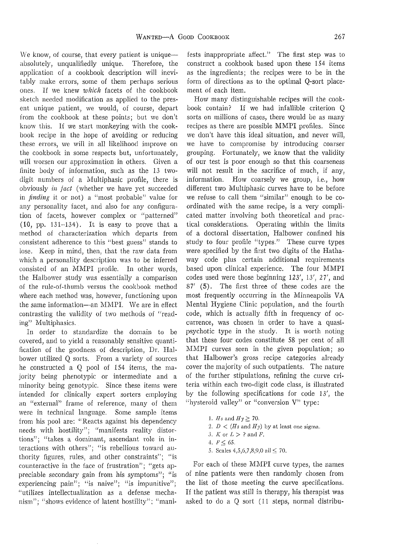We know, of course, that every patient is unique absolutely, unqualifiedly unique. Therefore, the application of a cookbook description will inevitably make errors, some of them perhaps serious ones. If we knew *which* facets of the cookbook sketch needed modification as applied to the present unique patient, we would, of course, depart from the cookbook at these points; but we don't know this. If we start monkeying with the cookbook recipe in the hope of avoiding or reducing these errors, we will in all likelihood improve on the cookbook in some respects but, unfortunately, will worsen our approximation in others. Given a finite body of information, such as the 13 twodigit numbers of a Multiphasic profile, there is obviously *in fact* (whether we have yet succeeded in *finding* it or not) a "most probable" value for any personality facet, and also for any configuration of facets, however complex or "patterned" (10, pp. 131-134). It is easy to prove that a method of characterization which departs from consistent adherence to this ''best guess" stands to lose. Keep in mind, then, that the raw data from which a personality description was to be inferred consisted of an MMPI profile. In other words, the Halbower study was essentially a comparison of the rule-of-thumb versus the cookbook method where each method was, however, functioning upon the same information—an MMPI. We are in effect contrasting the validity of two methods of "reading" Multiphasics.

In order to standardize the domain to be covered, and to yield a reasonably sensitive quantification of the goodness of description, Dr. Halbower utilized Q sorts. From a variety of sources he constructed a Q pool of 1S4 items, the majority being phenotypic or intermediate and a minority being genotypic. Since these items were intended for clinically expert sorters employing an "external" frame of reference, many of them were in technical language. Some sample items from his pool are: "Reacts against his dependency needs with hostility"; "manifests reality distortions"; "takes a dominant, ascendant role in interactions with others"; "is rebellious toward authority figures, rules, and other constraints"; "is counteractive in the face of frustration"; "gets appreciable secondary gain from his symptoms"; "is experiencing pain"; "is naive"; "is impunitive"; "utilizes intellectualization as a defense mechanism"; "shows evidence of latent hostility"; "mani-

fests inappropriate affect." The first step was to construct a cookbook based upon these 154 items as the ingredients; the recipes were to be in the form of directions as to the optimal Q-sort placement of each item.

How many distinguishable recipes will the cookbook contain? If we had infallible criterion Q sorts on millions of cases, there would be as many recipes as there are possible MMPI profiles. Since we don't have this ideal situation, and never will, we have to compromise by introducing coarser grouping. Fortunately, we know that the validity of our test is poor enough so that this coarseness will not result in the sacrifice of much, if any, information. How coarsely we group, i.e., how different two Multiphasic curves have to be before we refuse to call them "similar" enough to be coordinated with the same recipe, is a very complicated matter involving both theoretical and practical considerations. Operating within the limits of a doctoral dissertation, Halbower confined his study to four profile "types." These curve types were specified by the first two digits of the Hathaway code plus certain additional requirements based upon clinical experience. The four MMPI codes used were those beginning 123', 13', 27', and 87' (5). The first three of these codes are the most frequently occurring in the Minneapolis VA Mental Hygiene Clinic population, and the fourth code, which is actually fifth in frequency of occurrence, was chosen in order to have a quasipsychotic type in the study. It is worth noting that these four codes constitute 58 per cent of all MMPI curves seen in the given population; so that Halbower's gross recipe categories already cover the majority of such outpatients. The nature of the further stipulations, refining the curve criteria within each two-digit code class, is illustrated by the following specifications for code 13', the "hysteroid valley" or "conversion V" type:

> 1. *Hs* and  $H\gamma \geq 70$ . 2.  $D < (Hs$  and  $Hy)$  by at least one sigma. 3. *K* or *L >* ? and *F.* 4.  $F \le 65$ . *5.* Scales 4,5,6,7,8,9,0 all < 70.

For each of these MMPI curve types, the names of nine patients were then randomly chosen from the list of those meeting the curve specifications. If the patient was still in therapy, his therapist was asked to do a Q sort (11 steps, normal distribu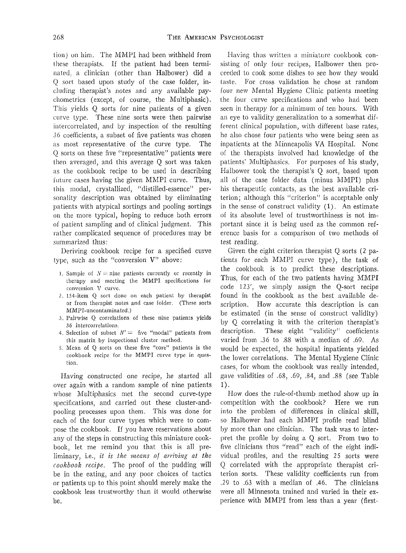lion) on him. The MMPI had been withheld from these therapists. If the patient had been terminated, a clinician (other than Halbower) did a Q sort based upon study of the case folder, including therapist's notes and any available psychometrics (except, of course, the Multiphasic). This yields Q sorts for nine patients of a given curve type. These nine sorts were then pairwise intercorrelated, and by inspection of the resulting 36 coefficients, a subset of five patients was chosen as most representative of the curve type. The Q sorts on these five "representative" patients were then averaged, and this average Q sort was taken as the cookbook recipe to be used in describing future cases having the given MMPI curve. Thus, this modal, crystallized, "distilled-essence" personality description was obtained by eliminating patients with atypical sortings and pooling sortings on the more typical, hoping to reduce both errors of patient sampling and of clinical judgment. This rather complicated sequence of procedures may be summarized thus:

Deriving cookbook recipe for a specified curve type, such as the "conversion V" above:

- 1. Sample of  $N =$  nine patients currently or recently in therapy and meeting the MMPI specifications for conversion V curve.
- 2. 154-item Q sort done on each patient by therapist or from therapist notes and case folder. (These sorts MMPI-uncontaminated.)
- 3. Pairwise Q correlations of these nine patients yields 36 intercorrelations.
- 4. Selection of subset  $N' =$  five "modal" patients from this matrix by inspectional cluster method.
- 5. Mean of Q sorts on these five "core" patients is the cookbook recipe for the MMPI curve type in question.

Having constructed one recipe, he started all over again with a random sample of nine patients whose Multiphasics met the second curve-type specifications, and carried out these cluster-andpooling processes upon them. This was done for each of the four curve types which were to compose the cookbook. If you have reservations about any of the steps in constructing this miniature cookbook, let me remind you that this is all preliminary, i.e., *it is the means of arriving at the cookbook recipe.* The proof of the pudding will be in the eating, and any poor choices of tactics or patients up to this point should merely make the cookbook less trustworthy than it would otherwise be.

Having thus written a miniature cookbook consisting of only four recipes, Halbower then proceeded to cook some dishes to see how they would taste. For cross validation he chose at random four new Mental Hygiene Clinic patients meeting the four curve specifications and who had been seen in therapy for a minimum of ten hours. With an eye to validity generalization to a somewhat different clinical population, with different base rates, he also chose four patients who were being seen as inpatients at the Minneapolis VA Hospital. None of the therapists involved had knowledge of the patients' Multiphasics. For purposes of his study, Halbower took the therapist's Q sort, based upon all of the case folder data (minus MMPI) plus his therapeutic contacts, as the best available criterion; although this "criterion" is acceptable only in the sense of construct validity (1). An estimate of its absolute level of trustworthiness is not important since it is being used as the common reference basis for a comparison of two methods of test reading.

Given the eight criterion therapist Q sorts (2 patients for each MMPI curve type), the task of the cookbook is to predict these descriptions. Thus, for each of the two patients having MMPI code 123', we simply assign the Q-sort recipe found in the cookbook as the best available description. How accurate this description is can be estimated (in the sense of construct validity) by Q correlating it with the criterion therapist's description. These eight "validity" coefficients varied from .36 to .88 with a median of .69, As would be expected, the hospital inpatients yielded the lower correlations. The Mental Hygiene Clinic cases, for whom the cookbook was really intended, gave validities of .68, .69, .84, and .88 (see Table 1).

How does the rule-of-thumb method show up in competition with the cookbook? Here we run into the problem of differences in clinical skill, so Halbower had each MMPI profile read blind by more than one clinician. The task was to interpret the profile by doing a Q sort. From two to five clinicians thus "read" each of the eight individual profiles, and the resulting 25 sorts were Q correlated with the appropriate therapist criterion sorts. These validity coefficients run from .29 to .63 with a median of .46. The clinicians were all Minnesota trained and varied in their experience with MMPI from less than a year (first-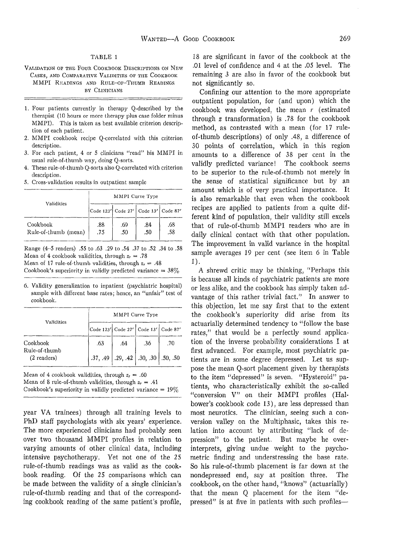### TABLE 1

VALIDATION OF THE FOUR COOKBOOK DESCRIPTIONS ON NEW CASES, AND COMPARATIVE VALIDITIES OP THE COOKBOOK MMPI READINGS AND RULE-OF-THUMB READINGS BY CLINICIANS

- 1. Four patients currently in therapy Q-described by the therapist (10 hours or more therapy plus case folder minus MMPI). This is taken as best available criterion description of each patient.
- 2. MMPI cookbook recipe Q-correlated with this criterion description.
- 3. For each patient, 4 or 5 clinicians "read" his MMPI in usual rule-of-thumb way, doing Q-sorts.
- 4. These rule-of-thumb Q-sorts also Q-correlated with criterion description.
- 5. Cross-validation results in outpatient sample

| Validities                       | MMPI Curve Type                      |            |            |            |
|----------------------------------|--------------------------------------|------------|------------|------------|
|                                  | Code 123' Code 27' Code 13' Code 87' |            |            |            |
| Cookbook<br>Rule-of-thumb (mean) | .88<br>.75                           | .69<br>.50 | .84<br>.50 | .68<br>.58 |

Range (4-5 readers) .55 to .63 .29 to .54 .37 to .52 .34 to .58 Mean of 4 cookbook validities, through *z, —* .78 Mean of 17 rule-of-thumb validities, through  $z_r = .48$ 

Cookbook's superiority in validly predicted variance  $= 38\%$ 

6. Validity generalization to inpatient (psychiatric hospital) sample with different base rates; hence, an "unfair" test of cookbook.

|                           | MMPI Curve Type |                                                             |     |     |  |
|---------------------------|-----------------|-------------------------------------------------------------|-----|-----|--|
| Validities                |                 | Code 123' Code 27' Code 13' Code 87'<br>.64                 |     |     |  |
| Cookbook<br>Rule-of-thumb | .63             |                                                             | .36 | .70 |  |
| (2 readers)               |                 | .37, .49 $\big $ .29, .42 $\big $ .30, .30 $\big $ .50, .50 |     |     |  |

Mean of 4 cookbook validities, through *z<sup>r</sup> —* .60 Mean of 8 rule-of-thumb validities, through *z<sup>r</sup> =* .41 Cookbook's superiority in validly predicted variance =  $19\%$ 

year VA trainees) through all training levels to PhD staff psychologists with six years' experience. The more experienced clinicians had probably seen over two thousand MMPI profiles in relation to varying amounts of other clinical data, including intensive psychotherapy. Yet not one of the 25 rule-of-thumb readings was as valid as the cookbook reading. Of the 25 comparisons which can be made between the validity of a single clinician's rule-of-thumb reading and that of the corresponding cookbook reading of the same patient's profile,

18 are significant in favor of the cookbook at the .01 level of confidence and 4 at the .05 level. The remaining 3 are also in favor of the cookbook but not significantly so.

Confining our attention to the more appropriate outpatient population, for (and upon) which the cookbook was developed, the mean *r* (estimated through *z* transformation) is .78 for the cookbook method, as contrasted with a mean (for 17 ruleof-thumb descriptions) of only ,48, a difference of 30 points of correlation, which in this region amounts to a difference of 38 per cent in the validly predicted variance! The cookbook seems to be superior to the rule-of-thumb not merely in the sense of statistical significance but by an amount which is of very practical importance. It is also remarkable that even when the cookbook recipes are applied to patients from a quite different kind of population, their validity still excels that of rule-of-thumb MMPI readers who are in daily clinical contact with that other population. The improvement in valid variance in the hospital sample averages 19 per cent (see item 6 in Table 1).

A shrewd critic may be thinking, "Perhaps this is because all kinds of psychiatric patients are more or less alike, and the cookbook has simply taken advantage of this rather trivial fact." In answer to this objection, let me say first that to the extent the cookbook's superiority did arise from its actuarially determined tendency to "follow the base rates," that would be a perfectly sound application of the inverse probability considerations I at first advanced. For example, most psychiatric patients are in some degree depressed. Let us suppose the mean Q-sort placement given by therapists to the item "depressed" is seven. "Hysteroid" patients, who characteristically exhibit the so-called "conversion V" on their MMPI profiles (Halbower's cookbook code 13), are less depressed than most neurotics. The clinician, seeing such a conversion valley on the Multiphasic, takes this relation into account by attributing "lack of depression" to the patient. But maybe he overinterprets, giving undue weight to the psychometric finding and understressing the base rate. So his rule-of-thumb placement is far down at the nondepressed end, say at position three. The cookbook, on the other hand, "knows" (actuarially) that the mean Q placement for the item "depressed" is at five in patients with such profiles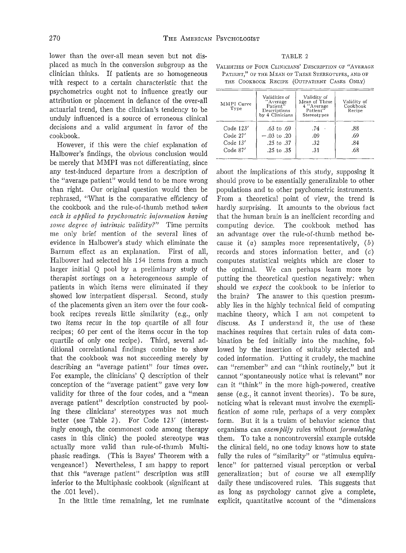lower than the over-all mean seven but not displaced as much in the conversion subgroup as the clinician thinks. If patients are so homogeneous with respect to a certain characteristic that the psychometrics ought not to influence greatly our attribution or placement in defiance of the over-all actuarial trend, then the clinician's tendency to be unduly influenced is a source of erroneous clinical decisions and a valid argument in favor of the cookbook.

However, if this were the chief explanation of Halbower's findings, the obvious conclusion would be merely that MMPI was not differentiating, since any test-induced departure from a description of the "average patient" would tend to be more wrong than right. Our original question would then be rephrased, "What is the comparative efficiency of the cookbook and the rule-of-thumb method *when each is applied to psychometric information having some degree oj intrinsic validity?"* Time permits me only brief mention of the several lines of evidence in Halbower's study which eliminate the Barnum effect as an explanation. First of all, Halbower had selected his 154 items from a much larger initial Q pool by a preliminary study of therapist sortings on a heterogeneous sample of patients in which items were eliminated if they showed low interpatient dispersal. Second, study of the placements given an item over the four cookbook recipes reveals little similarity (e.g., only two items recur in the top quartile of all four recipes; 60 per cent of the items occur in the top quartile of only one recipe). Third, several additional correlational findings combine to show that the cookbook was not succeeding merely by describing an "average patient" four times over. For example, the clinicians' Q description of their conception of the "average patient" gave very low validity for three of the four codes, and a "mean average patient" description constructed by pooling these clinicians' stereotypes was not much better (see Table 2). For Code 123' (interestingly enough, the commonest code among therapy cases in this clinic) the pooled stereotype was actually more valid than rule-of-thumb Multiphasic readings, (This is Bayes' Theorem with a vengeance!) Nevertheless, I am happy to report that this "average patient" description was still inferior to the Multiphasic cookbook (significant at the .001 level).

In the little time remaining, let me ruminate

#### TABLE 2

VALIDITIES OF FOUR CLINICIANS' DESCRIPTION OP "AVERAGE PATIENT," OF THE MEAN OF THESE STEREOTYPES, AND OF THE COOKBOOK RECIPE (OUTPATIENT CASES ONLY)

| MMPI Curve<br>Type | Validities of<br>"Average<br>Patient"<br>Descriptions<br>by 4 Clinicians | Validity of<br>Mean of These<br>4 "Average<br>Patient"<br>Stereotypes | Validity of<br>Cookbook<br>Recipe |
|--------------------|--------------------------------------------------------------------------|-----------------------------------------------------------------------|-----------------------------------|
| Code 123'          | .63 to .69                                                               | .74                                                                   | .88                               |
| Code 27'           | $-.03$ to .20                                                            | .09                                                                   | .69                               |
| Code 13'           | .25 to .37                                                               | .32                                                                   | .84                               |
| Code 87'           | .25 to .35                                                               | .31                                                                   | .68                               |

about the implications of this study, supposing it should prove to be essentially generalizable to other populations and to other psychometric instruments. From a theoretical point of view, the trend is hardly surprising. It amounts to the obvious fact that the human brain is an inefficient recording and computing device. The cookbook method has an advantage over the rule-of-thumb method because it (a) samples more representatively, *(b)* records and stores information better, and *(c)* computes statistical weights which are closer to the optimal. We can perhaps learn more by putting the theoretical question negatively: when should we *expect* the cookbook to be inferior to the brain? The answer to this question presumably lies in the highly technical field of computing machine theory, which I am not competent to discuss. As I understand it, the use of these machines requires that certain rules of data combination be fed initially into the machine, followed by the insertion of suitably selected and coded information. Putting it crudely, the machine can "remember" and can "think routinely," but it cannot "spontaneously notice what is relevant" nor can it "think" in the more high-powered, creative sense (e.g., it cannot invent theories). To be sure, noticing what is relevant must involve the exemplification of some rule, perhaps of a very complex form. But it is a truism of behavior science that organisms can *exemplify* rules without *formulating* them. To take a noncontroversial example outside the clinical field, no one today knows how to state fully the rules of "similarity" or "stimulus equivalence" for patterned visual perception or verbal generalization; but of course we all exemplify daily these undiscovered rules. This suggests that as long as psychology cannot give a complete, explicit, quantitative account of the "dimensions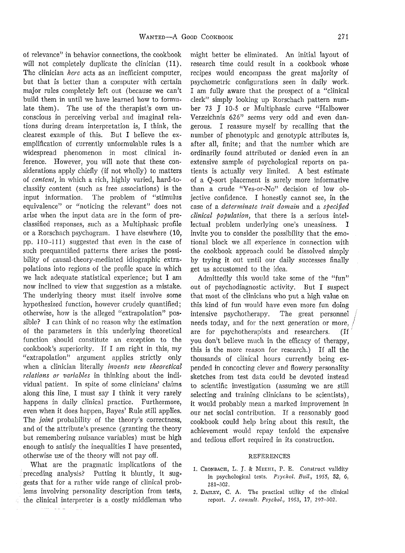of relevance" in behavior connections, the cookbook will not completely duplicate the clinician  $(11)$ . The clinician *here* acts as an inefficient computer, but that is better than a computer with certain major rules completely left out (because we can't build them in until we have learned how to formulate them). The use of the therapist's own unconscious in perceiving verbal and imaginal relations during dream interpretation is, I think, the clearest example of this. But I believe the exemplification of currently unformulable rules is a widespread phenomenon in most clinical inference. However, you will note that these considerations apply chiefly (if not wholly) to matters of *content,* in which a rich, highly varied, hard-toclassify content (such as free associations) *is* the input information. The problem of "stimulus equivalence" or "noticing the relevant" does not arise when the input data are in the form of preclassified responses, such as a Multiphasic profile or a Rorschach psychogram. I have elsewhere (10, pp. 110-111) suggested that even in the case of such prequantified patterns there arises the possibility of causal-theory-mediated idiographic extrapolations into regions of the profile space in which we lack adequate statistical experience; but I am now inclined to view that suggestion as a mistake. The underlying theory must itself involve some hypothesized function, however crudely quantified; otherwise, how is the alleged "extrapolation" possible? I can think of no reason why the estimation of the parameters in this underlying theoretical function should constitute an exception to the cookbook's superiority. If I am right in this, my "extrapolation" argument applies strictly only when a clinician literally *invents new theoretical relations or variables* in thinking about the individual patient. In spite of some clinicians' claims along this line, I must say I think it very rarely happens in daily clinical practice. Furthermore, even when it does happen, Bayes' Rule still applies. The *joint* probability of the theory's correctness, and of the attribute's presence (granting the theory but remembering nuisance variables) must be high enough to satisfy the inequalities I have presented, otherwise use of the theory will not pay off.

What are the pragmatic implications of the preceding analysis? Putting it bluntly, it suggests that for a rather wide range of clinical problems involving personality description from tests, the clinical interpreter is a costly middleman who might better be eliminated. An initial layout of research time could result in a cookbook whose recipes would encompass the great majority of psychometric configurations seen in daily work. I am fully aware that the prospect of a "clinical clerk" simply looking up Rorschach pattern number 73 J 10-5 or Multiphasic curve "Halbower Verzeichnis 626" seems very odd and even dangerous. I reassure myself by recalling that the number of phenotypic and genotypic attributes is, after all, finite; and that the number which are ordinarily found attributed or denied even in an extensive sample of psychological reports on patients is actually very limited. A best estimate of a Q-sort placement is surely more informative than a crude "Yes-or-No" decision of low objective confidence. I honestly cannot see, in the case of a *determinate trait domain* and a *specified clinical population,* that there is a serious intellectual problem underlying one's uneasiness. I invite you to consider the possibility that the emotional block we all experience in connection with the cookbook approach could be dissolved simply by trying it out until our daily successes finally get us accustomed to the idea.

Admittedly this would take some of the "fun" out of psychodiagnostic activity. But I suspect that most of the clinicians who put a high value on this kind of fun would have even more fun doing intensive psychotherapy. The great personnel needs today, and for the next generation or more, are for psychotherapists and researchers. (If you don't believe much in the efficacy of therapy, this is the more reason for research.) If all the thousands of clinical hours currently being expended in concocting clever and flowery personality sketches from test data could be devoted instead to scientific investigation (assuming we are still selecting and training clinicians to be scientists), it would probably mean a marked improvement in our net social contribution. If a reasonably good cookbook could help bring about this result, the achievement would repay tenfold the expensive and tedious effort required in its construction.

#### REFERENCES

- 1. CRONBACH, L. J. & MEEHL, P. E. Construct validity in psychological tests. *Psychol, Bull.,* 1955, 52, 6, 281-302.
- 2, DATLEY, C, A. The practical utility of the clinical report. /. *consult. Psychol.,* 1953, 17, 297-302.